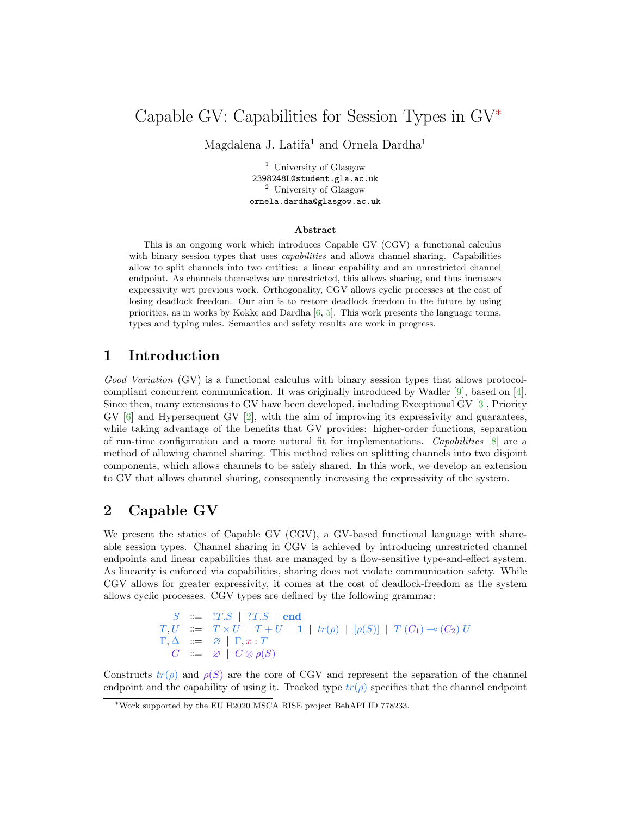# Capable GV: Capabilities for Session Types in GV<sup>∗</sup>

Magdalena J. Latifa<sup>1</sup> and Ornela Dardha<sup>1</sup>

<sup>1</sup> University of Glasgow 2398248L@student.gla.ac.uk <sup>2</sup> University of Glasgow ornela.dardha@glasgow.ac.uk

#### Abstract

This is an ongoing work which introduces Capable GV (CGV)–a functional calculus with binary session types that uses *capabilities* and allows channel sharing. Capabilities allow to split channels into two entities: a linear capability and an unrestricted channel endpoint. As channels themselves are unrestricted, this allows sharing, and thus increases expressivity wrt previous work. Orthogonality, CGV allows cyclic processes at the cost of losing deadlock freedom. Our aim is to restore deadlock freedom in the future by using priorities, as in works by Kokke and Dardha [\[6,](#page-2-0) [5\]](#page-2-1). This work presents the language terms, types and typing rules. Semantics and safety results are work in progress.

### 1 Introduction

Good Variation (GV) is a functional calculus with binary session types that allows protocolcompliant concurrent communication. It was originally introduced by Wadler [\[9\]](#page-2-2), based on [\[4\]](#page-2-3). Since then, many extensions to GV have been developed, including Exceptional GV [\[3\]](#page-2-4), Priority  $\text{GV}$  [\[6\]](#page-2-0) and Hypersequent  $\text{GV}$  [\[2\]](#page-2-5), with the aim of improving its expressivity and guarantees, while taking advantage of the benefits that GV provides: higher-order functions, separation of run-time configuration and a more natural fit for implementations. Capabilities [\[8\]](#page-2-6) are a method of allowing channel sharing. This method relies on splitting channels into two disjoint components, which allows channels to be safely shared. In this work, we develop an extension to GV that allows channel sharing, consequently increasing the expressivity of the system.

#### 2 Capable GV

We present the statics of Capable GV (CGV), a GV-based functional language with shareable session types. Channel sharing in CGV is achieved by introducing unrestricted channel endpoints and linear capabilities that are managed by a flow-sensitive type-and-effect system. As linearity is enforced via capabilities, sharing does not violate communication safety. While CGV allows for greater expressivity, it comes at the cost of deadlock-freedom as the system allows cyclic processes. CGV types are defined by the following grammar:

```
S \cong !\; T.S \; | \; ?T.S \; | \; \mathbf{end}T, U := T \times U | T + U | 1 | tr(\rho) | [\rho(S)] | T (C_1) \rightarrow (C_2) U\Gamma, \Delta \quad \equiv \quad \varnothing \mid \Gamma, x : TC := \emptyset \mid C \otimes \rho(S)
```
Constructs  $tr(\rho)$  and  $\rho(S)$  are the core of CGV and represent the separation of the channel endpoint and the capability of using it. Tracked type  $tr(\rho)$  specifies that the channel endpoint

<sup>∗</sup>Work supported by the EU H2020 MSCA RISE project BehAPI ID 778233.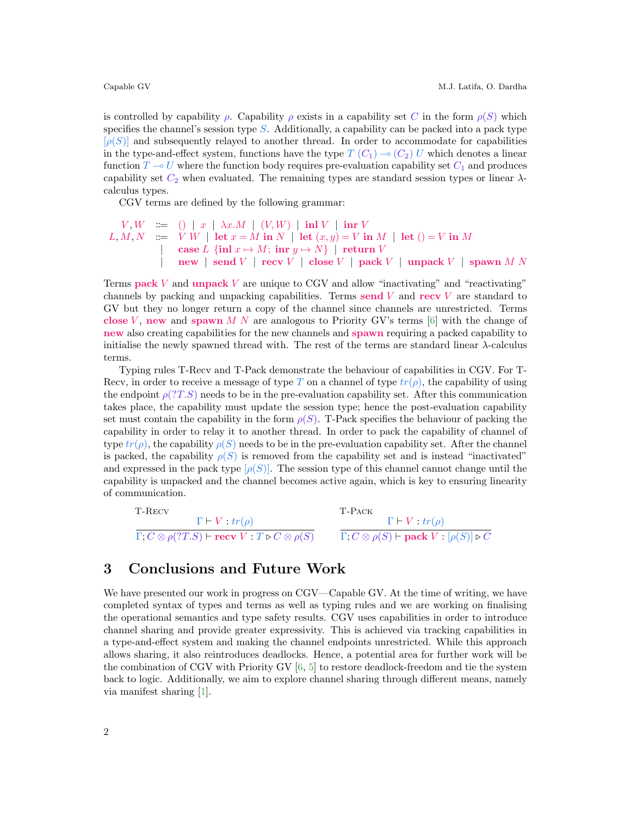is controlled by capability  $\rho$ . Capability  $\rho$  exists in a capability set C in the form  $\rho(S)$  which specifies the channel's session type  $S$ . Additionally, a capability can be packed into a pack type  $[\rho(S)]$  and subsequently relayed to another thread. In order to accommodate for capabilities in the type-and-effect system, functions have the type  $T(C_1) \sim (C_2) U$  which denotes a linear function  $T \to U$  where the function body requires pre-evaluation capability set  $C_1$  and produces capability set  $C_2$  when evaluated. The remaining types are standard session types or linear  $\lambda$ calculus types.

CGV terms are defined by the following grammar:

```
V, W \quad ::= \quad () \mid x \mid \lambda x.M \mid (V, W) \mid \text{inl } V \mid \text{inr } VL, M, N \; := \; V \; W \; | \; \det x = M \; \text{in} \; N \; | \; \det (x, y) = V \; \text{in} \; M \; | \; \det (\;) = V \; \text{in} \; M| case L {inl x \mapsto M; inr y \mapsto N | return V
                \vert new \vert send V \vert recv V \vert close V \vert pack V \vert unpack V \vert spawn M N
```
Terms pack  $V$  and unpack  $V$  are unique to CGV and allow "inactivating" and "reactivating" channels by packing and unpacking capabilities. Terms send V and recv V are standard to GV but they no longer return a copy of the channel since channels are unrestricted. Terms close V, new and spawn M N are analogous to Priority GV's terms [\[6\]](#page-2-0) with the change of new also creating capabilities for the new channels and spawn requiring a packed capability to initialise the newly spawned thread with. The rest of the terms are standard linear λ-calculus terms.

Typing rules T-Recv and T-Pack demonstrate the behaviour of capabilities in CGV. For T-Recv, in order to receive a message of type T on a channel of type  $tr(\rho)$ , the capability of using the endpoint  $\rho(T.S)$  needs to be in the pre-evaluation capability set. After this communication takes place, the capability must update the session type; hence the post-evaluation capability set must contain the capability in the form  $\rho(S)$ . T-Pack specifies the behaviour of packing the capability in order to relay it to another thread. In order to pack the capability of channel of type  $tr(\rho)$ , the capability  $\rho(S)$  needs to be in the pre-evaluation capability set. After the channel is packed, the capability  $\rho(S)$  is removed from the capability set and is instead "inactivated" and expressed in the pack type  $[\rho(S)]$ . The session type of this channel cannot change until the capability is unpacked and the channel becomes active again, which is key to ensuring linearity of communication.

| $T$ - $RECV$                                                                                       | T-Pack                                                                     |  |
|----------------------------------------------------------------------------------------------------|----------------------------------------------------------------------------|--|
| $\Gamma \vdash V : tr(\rho)$                                                                       | $\Gamma \vdash V : tr(\rho)$                                               |  |
| $\Gamma, C \otimes \rho(?T.S) \vdash \textbf{recv} \ \ V \cdot T \triangleright C \otimes \rho(S)$ | $\Gamma, C \otimes \rho(S)$ $\vdash$ pack $V : [\rho(S)] \triangleright C$ |  |

#### 3 Conclusions and Future Work

We have presented our work in progress on CGV—Capable GV. At the time of writing, we have completed syntax of types and terms as well as typing rules and we are working on finalising the operational semantics and type safety results. CGV uses capabilities in order to introduce channel sharing and provide greater expressivity. This is achieved via tracking capabilities in a type-and-effect system and making the channel endpoints unrestricted. While this approach allows sharing, it also reintroduces deadlocks. Hence, a potential area for further work will be the combination of CGV with Priority GV [\[6,](#page-2-0) [5\]](#page-2-1) to restore deadlock-freedom and tie the system back to logic. Additionally, we aim to explore channel sharing through different means, namely via manifest sharing [\[1\]](#page-2-7).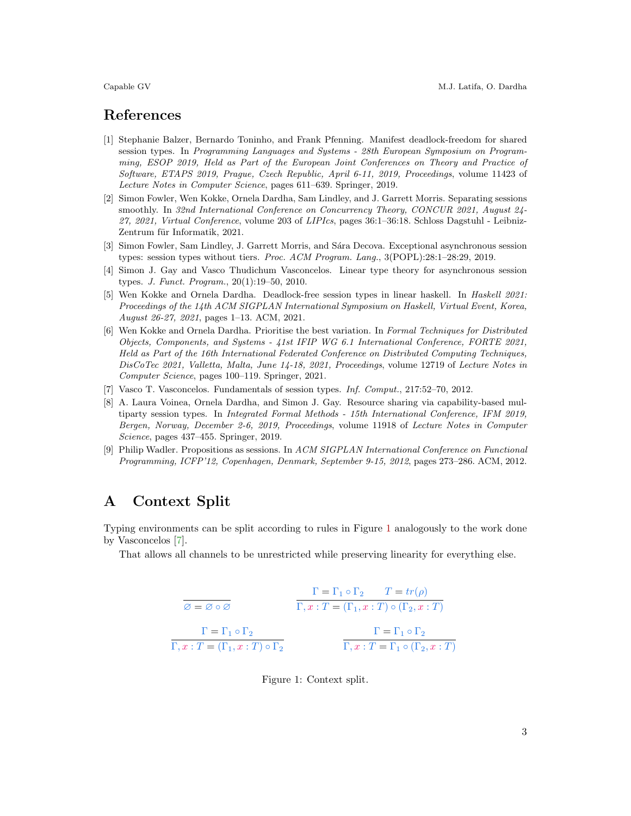#### References

- <span id="page-2-7"></span>[1] Stephanie Balzer, Bernardo Toninho, and Frank Pfenning. Manifest deadlock-freedom for shared session types. In Programming Languages and Systems - 28th European Symposium on Programming, ESOP 2019, Held as Part of the European Joint Conferences on Theory and Practice of Software, ETAPS 2019, Prague, Czech Republic, April 6-11, 2019, Proceedings, volume 11423 of Lecture Notes in Computer Science, pages 611–639. Springer, 2019.
- <span id="page-2-5"></span>[2] Simon Fowler, Wen Kokke, Ornela Dardha, Sam Lindley, and J. Garrett Morris. Separating sessions smoothly. In 32nd International Conference on Concurrency Theory, CONCUR 2021, August 24- 27, 2021, Virtual Conference, volume 203 of LIPIcs, pages 36:1–36:18. Schloss Dagstuhl - Leibniz-Zentrum für Informatik, 2021.
- <span id="page-2-4"></span>[3] Simon Fowler, Sam Lindley, J. Garrett Morris, and Sára Decova. Exceptional asynchronous session types: session types without tiers. Proc. ACM Program. Lang., 3(POPL):28:1–28:29, 2019.
- <span id="page-2-3"></span>[4] Simon J. Gay and Vasco Thudichum Vasconcelos. Linear type theory for asynchronous session types. J. Funct. Program., 20(1):19–50, 2010.
- <span id="page-2-1"></span>[5] Wen Kokke and Ornela Dardha. Deadlock-free session types in linear haskell. In Haskell 2021: Proceedings of the 14th ACM SIGPLAN International Symposium on Haskell, Virtual Event, Korea, August 26-27, 2021, pages 1–13. ACM, 2021.
- <span id="page-2-0"></span>[6] Wen Kokke and Ornela Dardha. Prioritise the best variation. In Formal Techniques for Distributed Objects, Components, and Systems - 41st IFIP WG 6.1 International Conference, FORTE 2021, Held as Part of the 16th International Federated Conference on Distributed Computing Techniques, DisCoTec 2021, Valletta, Malta, June 14-18, 2021, Proceedings, volume 12719 of Lecture Notes in Computer Science, pages 100–119. Springer, 2021.
- <span id="page-2-9"></span>[7] Vasco T. Vasconcelos. Fundamentals of session types. Inf. Comput., 217:52–70, 2012.
- <span id="page-2-6"></span>[8] A. Laura Voinea, Ornela Dardha, and Simon J. Gay. Resource sharing via capability-based multiparty session types. In Integrated Formal Methods - 15th International Conference, IFM 2019, Bergen, Norway, December 2-6, 2019, Proceedings, volume 11918 of Lecture Notes in Computer Science, pages 437–455. Springer, 2019.
- <span id="page-2-2"></span>[9] Philip Wadler. Propositions as sessions. In ACM SIGPLAN International Conference on Functional Programming, ICFP'12, Copenhagen, Denmark, September 9-15, 2012, pages 273–286. ACM, 2012.

### A Context Split

Typing environments can be split according to rules in Figure [1](#page-2-8) analogously to the work done by Vasconcelos [\[7\]](#page-2-9).

That allows all channels to be unrestricted while preserving linearity for everything else.

$$
\begin{array}{ccc}\n\overline{\varnothing = \varnothing \circ \varnothing} & & \Gamma = \Gamma_1 \circ \Gamma_2 & T = tr(\rho) \\
\hline\n\Gamma = \Gamma_1 \circ \Gamma_2 & & \Gamma = (\Gamma_1, x : T) \circ (\Gamma_2, x : T) \\
\Gamma = \Gamma_1 \circ \Gamma_2 & & \Gamma = \Gamma_1 \circ \Gamma_2 \\
\overline{\Gamma, x : T = (\Gamma_1, x : T) \circ \Gamma_2} & & \overline{\Gamma, x : T = \Gamma_1 \circ (\Gamma_2, x : T)}\n\end{array}
$$

<span id="page-2-8"></span>Figure 1: Context split.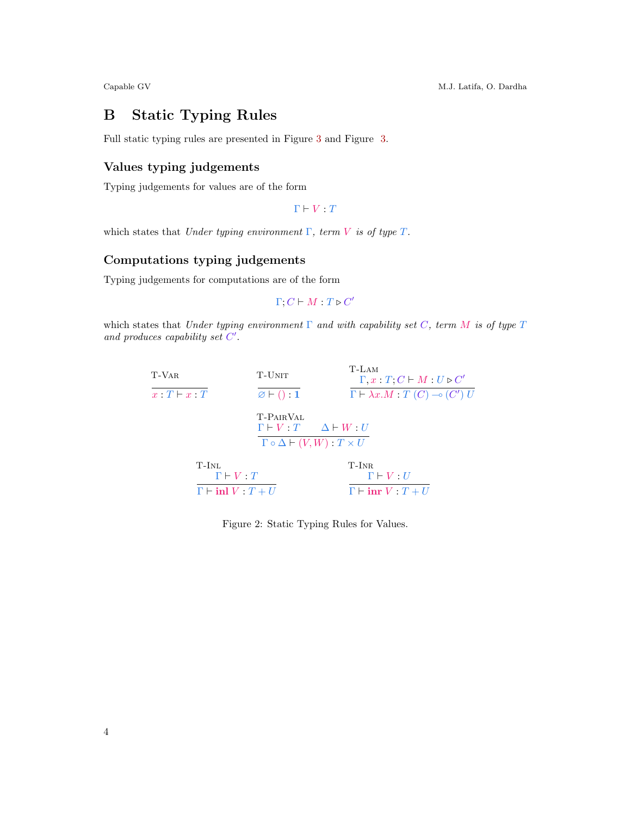Capable GV M.J. Latifa, O. Dardha

## B Static Typing Rules

Full static typing rules are presented in Figure [3](#page-4-0) and Figure [3.](#page-4-0)

# Values typing judgements

Typing judgements for values are of the form

 $\Gamma \vdash V : T$ 

which states that Under typing environment  $\Gamma$ , term V is of type  $T$ .

#### Computations typing judgements

Typing judgements for computations are of the form

 $\Gamma; C \vdash M : T \triangleright C'$ 

which states that Under typing environment  $\Gamma$  and with capability set C, term M is of type  $T$ and produces capability set  $C'$ .

| T-VAR                        | T-UNIT                    | $T-LAM$<br>$\Gamma, x : T; C \vdash M : U \triangleright C'$ |  |
|------------------------------|---------------------------|--------------------------------------------------------------|--|
| $x \cdot T \vdash x \cdot T$ | $\varnothing$ + () : 1    | $\Gamma \vdash \lambda x.M : T(C) \multimap (C') U$          |  |
|                              | T-PAIRVAL                 | $\Gamma \vdash V : T \quad \Delta \vdash W : U$              |  |
|                              |                           | $\Gamma \circ \Delta \vdash (V, W) : T \times U$             |  |
| T-Inl                        | $\Gamma \vdash V : T$     | $T-INR$<br>$\Gamma \vdash V : U$                             |  |
|                              | $\Gamma$ – inl $V: T + U$ | $\Gamma \vdash \text{inr } V : T + U$                        |  |

Figure 2: Static Typing Rules for Values.